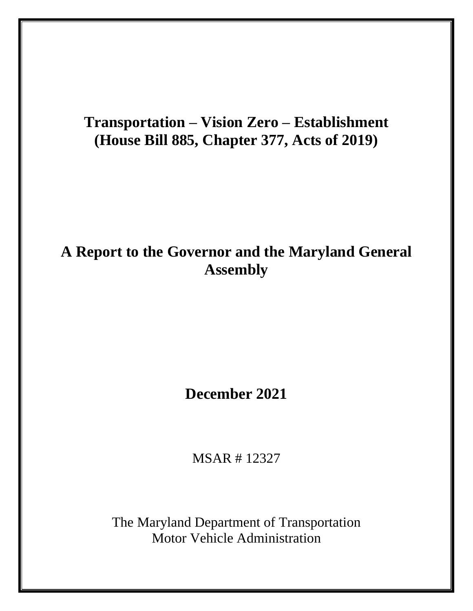# **Transportation – Vision Zero – Establishment (House Bill 885, Chapter 377, Acts of 2019)**

## **A Report to the Governor and the Maryland General Assembly**

## **December 2021**

MSAR # 12327

The Maryland Department of Transportation Motor Vehicle Administration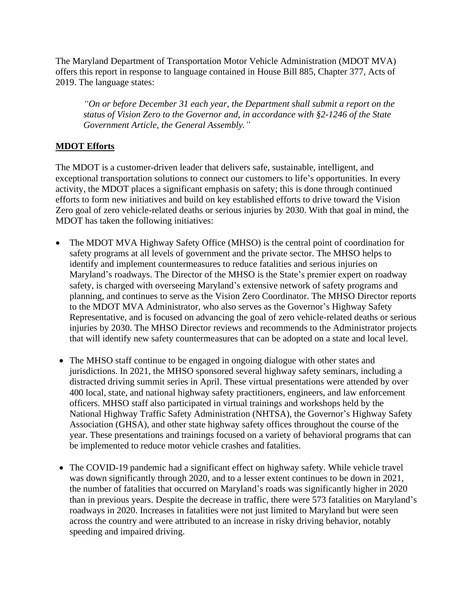The Maryland Department of Transportation Motor Vehicle Administration (MDOT MVA) offers this report in response to language contained in House Bill 885, Chapter 377, Acts of 2019. The language states:

*"On or before December 31 each year, the Department shall submit a report on the status of Vision Zero to the Governor and, in accordance with §2-1246 of the State Government Article, the General Assembly."*

#### **MDOT Efforts**

The MDOT is a customer-driven leader that delivers safe, sustainable, intelligent, and exceptional transportation solutions to connect our customers to life's opportunities. In every activity, the MDOT places a significant emphasis on safety; this is done through continued efforts to form new initiatives and build on key established efforts to drive toward the Vision Zero goal of zero vehicle-related deaths or serious injuries by 2030. With that goal in mind, the MDOT has taken the following initiatives:

- The MDOT MVA Highway Safety Office (MHSO) is the central point of coordination for safety programs at all levels of government and the private sector. The MHSO helps to identify and implement countermeasures to reduce fatalities and serious injuries on Maryland's roadways. The Director of the MHSO is the State's premier expert on roadway safety, is charged with overseeing Maryland's extensive network of safety programs and planning, and continues to serve as the Vision Zero Coordinator. The MHSO Director reports to the MDOT MVA Administrator, who also serves as the Governor's Highway Safety Representative, and is focused on advancing the goal of zero vehicle-related deaths or serious injuries by 2030. The MHSO Director reviews and recommends to the Administrator projects that will identify new safety countermeasures that can be adopted on a state and local level.
- The MHSO staff continue to be engaged in ongoing dialogue with other states and jurisdictions. In 2021, the MHSO sponsored several highway safety seminars, including a distracted driving summit series in April. These virtual presentations were attended by over 400 local, state, and national highway safety practitioners, engineers, and law enforcement officers. MHSO staff also participated in virtual trainings and workshops held by the National Highway Traffic Safety Administration (NHTSA), the Governor's Highway Safety Association (GHSA), and other state highway safety offices throughout the course of the year. These presentations and trainings focused on a variety of behavioral programs that can be implemented to reduce motor vehicle crashes and fatalities.
- The COVID-19 pandemic had a significant effect on highway safety. While vehicle travel was down significantly through 2020, and to a lesser extent continues to be down in 2021, the number of fatalities that occurred on Maryland's roads was significantly higher in 2020 than in previous years. Despite the decrease in traffic, there were 573 fatalities on Maryland's roadways in 2020. Increases in fatalities were not just limited to Maryland but were seen across the country and were attributed to an increase in risky driving behavior, notably speeding and impaired driving.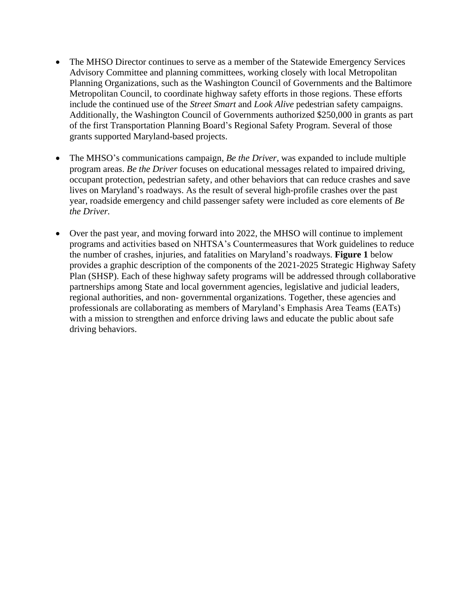- The MHSO Director continues to serve as a member of the Statewide Emergency Services Advisory Committee and planning committees, working closely with local Metropolitan Planning Organizations, such as the Washington Council of Governments and the Baltimore Metropolitan Council, to coordinate highway safety efforts in those regions. These efforts include the continued use of the *Street Smart* and *Look Alive* pedestrian safety campaigns. Additionally, the Washington Council of Governments authorized \$250,000 in grants as part of the first Transportation Planning Board's Regional Safety Program. Several of those grants supported Maryland-based projects.
- The MHSO's communications campaign, *Be the Driver,* was expanded to include multiple program areas. *Be the Driver* focuses on educational messages related to impaired driving, occupant protection, pedestrian safety, and other behaviors that can reduce crashes and save lives on Maryland's roadways. As the result of several high-profile crashes over the past year, roadside emergency and child passenger safety were included as core elements of *Be the Driver.*
- Over the past year, and moving forward into 2022, the MHSO will continue to implement programs and activities based on NHTSA's Countermeasures that Work guidelines to reduce the number of crashes, injuries, and fatalities on Maryland's roadways. **Figure 1** below provides a graphic description of the components of the 2021-2025 Strategic Highway Safety Plan (SHSP). Each of these highway safety programs will be addressed through collaborative partnerships among State and local government agencies, legislative and judicial leaders, regional authorities, and non- governmental organizations. Together, these agencies and professionals are collaborating as members of Maryland's Emphasis Area Teams (EATs) with a mission to strengthen and enforce driving laws and educate the public about safe driving behaviors.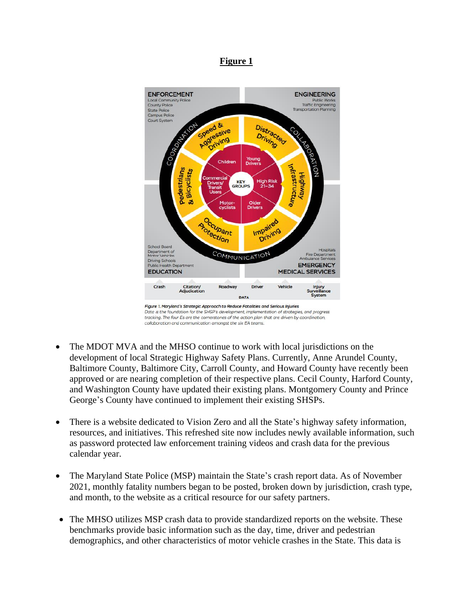#### **Figure 1**



Data is the foundation for the SHSP's development, implementation of strategies, and progress tracking. The four Es are the cornerstones of the action plan that are driven by coordination, collaboration and communication amongst the six EA teams.

- The MDOT MVA and the MHSO continue to work with local jurisdictions on the development of local Strategic Highway Safety Plans. Currently, Anne Arundel County, Baltimore County, Baltimore City, Carroll County, and Howard County have recently been approved or are nearing completion of their respective plans. Cecil County, Harford County, and Washington County have updated their existing plans. Montgomery County and Prince George's County have continued to implement their existing SHSPs.
- There is a website dedicated to Vision Zero and all the State's highway safety information, resources, and initiatives. This refreshed site now includes newly available information, such as password protected law enforcement training videos and crash data for the previous calendar year.
- The Maryland State Police (MSP) maintain the State's crash report data. As of November 2021, monthly fatality numbers began to be posted, broken down by jurisdiction, crash type, and month, to the website as a critical resource for our safety partners.
- The MHSO utilizes MSP crash data to provide standardized reports on the website. These benchmarks provide basic information such as the day, time, driver and pedestrian demographics, and other characteristics of motor vehicle crashes in the State. This data is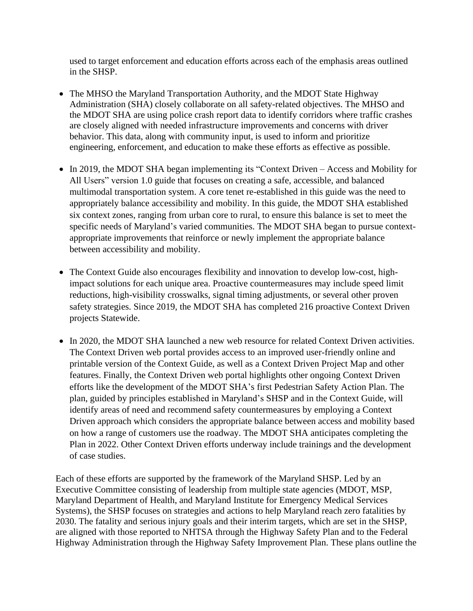used to target enforcement and education efforts across each of the emphasis areas outlined in the SHSP.

- The MHSO the Maryland Transportation Authority, and the MDOT State Highway Administration (SHA) closely collaborate on all safety-related objectives. The MHSO and the MDOT SHA are using police crash report data to identify corridors where traffic crashes are closely aligned with needed infrastructure improvements and concerns with driver behavior. This data, along with community input, is used to inform and prioritize engineering, enforcement, and education to make these efforts as effective as possible.
- In 2019, the MDOT SHA began implementing its "Context Driven Access and Mobility for All Users" version 1.0 guide that focuses on creating a safe, accessible, and balanced multimodal transportation system. A core tenet re-established in this guide was the need to appropriately balance accessibility and mobility. In this guide, the MDOT SHA established six context zones, ranging from urban core to rural, to ensure this balance is set to meet the specific needs of Maryland's varied communities. The MDOT SHA began to pursue contextappropriate improvements that reinforce or newly implement the appropriate balance between accessibility and mobility.
- The Context Guide also encourages flexibility and innovation to develop low-cost, highimpact solutions for each unique area. Proactive countermeasures may include speed limit reductions, high-visibility crosswalks, signal timing adjustments, or several other proven safety strategies. Since 2019, the MDOT SHA has completed 216 proactive Context Driven projects Statewide.
- In 2020, the MDOT SHA launched a new web resource for related Context Driven activities. The Context Driven web portal provides access to an improved user-friendly online and printable version of the Context Guide, as well as a Context Driven Project Map and other features. Finally, the Context Driven web portal highlights other ongoing Context Driven efforts like the development of the MDOT SHA's first Pedestrian Safety Action Plan. The plan, guided by principles established in Maryland's SHSP and in the Context Guide, will identify areas of need and recommend safety countermeasures by employing a Context Driven approach which considers the appropriate balance between access and mobility based on how a range of customers use the roadway. The MDOT SHA anticipates completing the Plan in 2022. Other Context Driven efforts underway include trainings and the development of case studies.

Each of these efforts are supported by the framework of the Maryland SHSP. Led by an Executive Committee consisting of leadership from multiple state agencies (MDOT, MSP, Maryland Department of Health, and Maryland Institute for Emergency Medical Services Systems), the SHSP focuses on strategies and actions to help Maryland reach zero fatalities by 2030. The fatality and serious injury goals and their interim targets, which are set in the SHSP, are aligned with those reported to NHTSA through the Highway Safety Plan and to the Federal Highway Administration through the Highway Safety Improvement Plan. These plans outline the